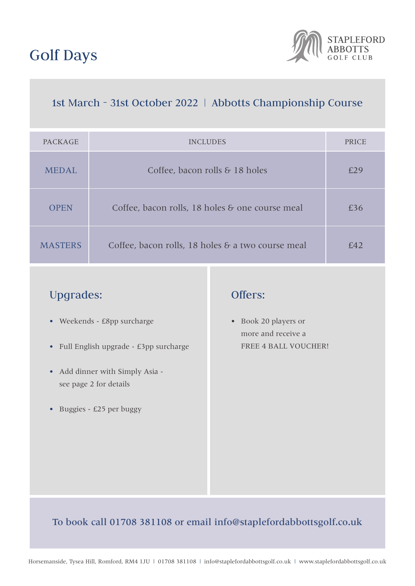# Golf Days



# 1st March - 31st October 2022 | Abbotts Championship Course

| PACKAGE        | <b>INCLUDES</b>                                   | PRICE |
|----------------|---------------------------------------------------|-------|
| <b>MEDAL</b>   | Coffee, bacon rolls & 18 holes                    | £29   |
| <b>OPEN</b>    | Coffee, bacon rolls, 18 holes & one course meal   | £36   |
| <b>MASTERS</b> | Coffee, bacon rolls, 18 holes & a two course meal | f42   |

# Upgrades:

- Weekends £8pp surcharge
- Full English upgrade £3pp surcharge
- Add dinner with Simply Asia see page 2 for details
- Buggies £25 per buggy

## Offers:

• Book 20 players or more and receive a FREE 4 BALL VOUCHER!

## To book call 01708 381108 or email info@staplefordabbottsgolf.co.uk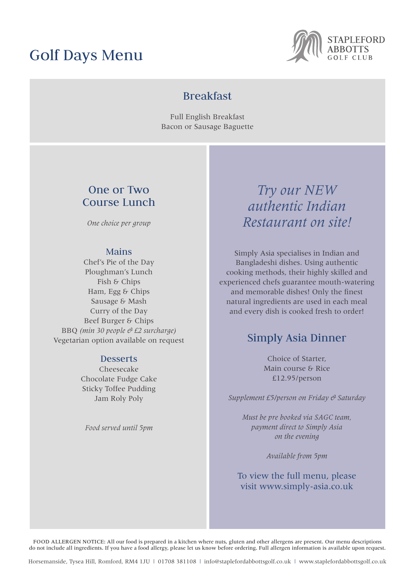# Golf Days Menu



## Breakfast

Full English Breakfast Bacon or Sausage Baguette

## One or Two Course Lunch

*One choice per group* 

## Mains

Chef's Pie of the Day Ploughman's Lunch Fish & Chips Ham, Egg & Chips Sausage & Mash Curry of the Day Beef Burger & Chips BBQ *(min 30 people & £2 surcharge)* Vegetarian option available on request

### **Desserts**

Cheesecake Chocolate Fudge Cake Sticky Toffee Pudding Jam Roly Poly

*Food served until 5pm*

# *Try our NEW authentic Indian Restaurant on site!*

Simply Asia specialises in Indian and Bangladeshi dishes. Using authentic cooking methods, their highly skilled and experienced chefs guarantee mouth-watering and memorable dishes! Only the finest natural ingredients are used in each meal and every dish is cooked fresh to order!

## Simply Asia Dinner

Choice of Starter, Main course & Rice £12.95/person

*Supplement £5/person on Friday & Saturday*

*Must be pre booked via SAGC team, payment direct to Simply Asia on the evening* 

*Available from 5pm*

## To view the full menu, please visit www.simply-asia.co.uk

FOOD ALLERGEN NOTICE: All our food is prepared in a kitchen where nuts, gluten and other allergens are present. Our menu descriptions do not include all ingredients. If you have a food allergy, please let us know before ordering. Full allergen information is available upon request.

Horsemanside, Tysea Hill, Romford, RM4 1JU | 01708 381108 | info@staplefordabbottsgolf.co.uk | www.staplefordabbottsgolf.co.uk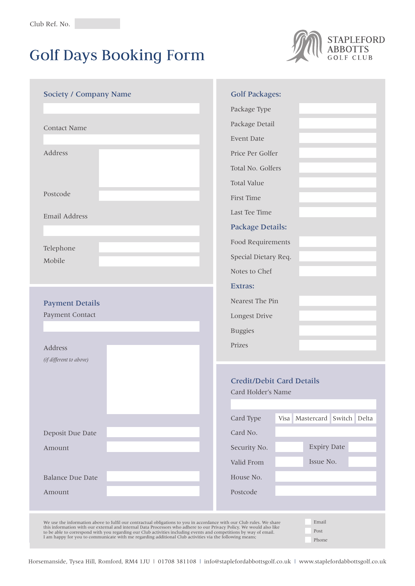# Golf Days Booking Form



| <b>Society / Company Name</b>                                                                                                                                                                                                                          | <b>Golf Packages:</b>                                  |  |  |
|--------------------------------------------------------------------------------------------------------------------------------------------------------------------------------------------------------------------------------------------------------|--------------------------------------------------------|--|--|
|                                                                                                                                                                                                                                                        | Package Type                                           |  |  |
| <b>Contact Name</b>                                                                                                                                                                                                                                    | Package Detail                                         |  |  |
|                                                                                                                                                                                                                                                        | Event Date                                             |  |  |
| Address                                                                                                                                                                                                                                                | Price Per Golfer                                       |  |  |
|                                                                                                                                                                                                                                                        | Total No. Golfers                                      |  |  |
|                                                                                                                                                                                                                                                        | <b>Total Value</b>                                     |  |  |
| Postcode                                                                                                                                                                                                                                               | First Time                                             |  |  |
| Email Address                                                                                                                                                                                                                                          | Last Tee Time                                          |  |  |
|                                                                                                                                                                                                                                                        | <b>Package Details:</b>                                |  |  |
| Telephone                                                                                                                                                                                                                                              | Food Requirements                                      |  |  |
| Mobile                                                                                                                                                                                                                                                 | Special Dietary Req.                                   |  |  |
|                                                                                                                                                                                                                                                        | Notes to Chef                                          |  |  |
|                                                                                                                                                                                                                                                        | <b>Extras:</b>                                         |  |  |
| <b>Payment Details</b>                                                                                                                                                                                                                                 | Nearest The Pin                                        |  |  |
| Payment Contact                                                                                                                                                                                                                                        | Longest Drive                                          |  |  |
|                                                                                                                                                                                                                                                        | <b>Buggies</b>                                         |  |  |
| Address                                                                                                                                                                                                                                                | Prizes                                                 |  |  |
| (if different to above)                                                                                                                                                                                                                                |                                                        |  |  |
|                                                                                                                                                                                                                                                        | <b>Credit/Debit Card Details</b><br>Card Holder's Name |  |  |
|                                                                                                                                                                                                                                                        |                                                        |  |  |
|                                                                                                                                                                                                                                                        |                                                        |  |  |
|                                                                                                                                                                                                                                                        | Card Type<br>Visa Mastercard Switch Delta              |  |  |
| Deposit Due Date                                                                                                                                                                                                                                       | Card No.                                               |  |  |
| Amount                                                                                                                                                                                                                                                 | <b>Expiry Date</b><br>Security No.                     |  |  |
|                                                                                                                                                                                                                                                        | Issue No.<br>Valid From                                |  |  |
| <b>Balance Due Date</b>                                                                                                                                                                                                                                | House No.                                              |  |  |
| Amount                                                                                                                                                                                                                                                 | Postcode                                               |  |  |
|                                                                                                                                                                                                                                                        |                                                        |  |  |
| Email<br>We use the information above to fulfil our contractual obligations to you in accordance with our Club rules. We share<br>this information with our external and internal Data Processors who adhere to our Privacy Policy. We would also like |                                                        |  |  |
| Post<br>to be able to correspond with you regarding our Club activities including events and competitions by way of email.<br>I am happy for you to communicate with me regarding additional Club activities via the following means;<br>Phone         |                                                        |  |  |

Horsemanside, Tysea Hill, Romford, RM4 1JU | 01708 381108 | info@staplefordabbottsgolf.co.uk | www.staplefordabbottsgolf.co.uk